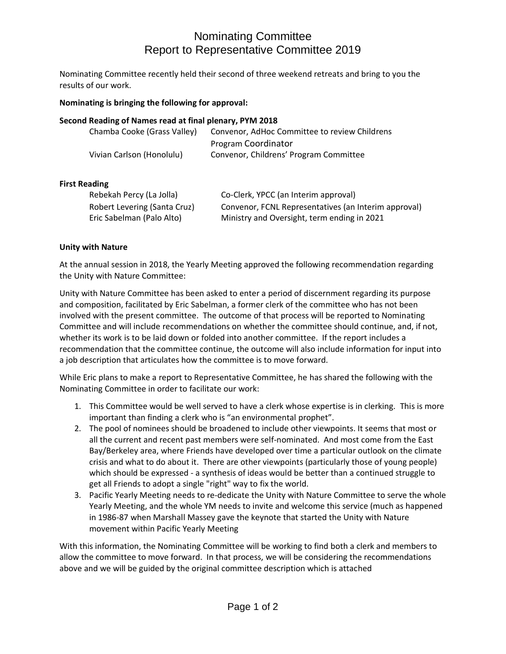# Nominating Committee Report to Representative Committee 2019

Nominating Committee recently held their second of three weekend retreats and bring to you the results of our work.

### **Nominating is bringing the following for approval:**

#### **Second Reading of Names read at final plenary, PYM 2018**

| Chamba Cooke (Grass Valley) | Convenor, AdHoc Committee to review Childrens |
|-----------------------------|-----------------------------------------------|
|                             | Program Coordinator                           |
| Vivian Carlson (Honolulu)   | Convenor, Childrens' Program Committee        |

#### **First Reading**

| Rebekah Percy (La Jolla)     | Co-Clerk, YPCC (an Interim approval)                 |
|------------------------------|------------------------------------------------------|
| Robert Levering (Santa Cruz) | Convenor, FCNL Representatives (an Interim approval) |
| Eric Sabelman (Palo Alto)    | Ministry and Oversight, term ending in 2021          |

#### **Unity with Nature**

At the annual session in 2018, the Yearly Meeting approved the following recommendation regarding the Unity with Nature Committee:

Unity with Nature Committee has been asked to enter a period of discernment regarding its purpose and composition, facilitated by Eric Sabelman, a former clerk of the committee who has not been involved with the present committee. The outcome of that process will be reported to Nominating Committee and will include recommendations on whether the committee should continue, and, if not, whether its work is to be laid down or folded into another committee. If the report includes a recommendation that the committee continue, the outcome will also include information for input into a job description that articulates how the committee is to move forward.

While Eric plans to make a report to Representative Committee, he has shared the following with the Nominating Committee in order to facilitate our work:

- 1. This Committee would be well served to have a clerk whose expertise is in clerking. This is more important than finding a clerk who is "an environmental prophet".
- 2. The pool of nominees should be broadened to include other viewpoints. It seems that most or all the current and recent past members were self-nominated. And most come from the East Bay/Berkeley area, where Friends have developed over time a particular outlook on the climate crisis and what to do about it. There are other viewpoints (particularly those of young people) which should be expressed - a synthesis of ideas would be better than a continued struggle to get all Friends to adopt a single "right" way to fix the world.
- 3. Pacific Yearly Meeting needs to re-dedicate the Unity with Nature Committee to serve the whole Yearly Meeting, and the whole YM needs to invite and welcome this service (much as happened in 1986-87 when Marshall Massey gave the keynote that started the Unity with Nature movement within Pacific Yearly Meeting

With this information, the Nominating Committee will be working to find both a clerk and members to allow the committee to move forward. In that process, we will be considering the recommendations above and we will be guided by the original committee description which is attached